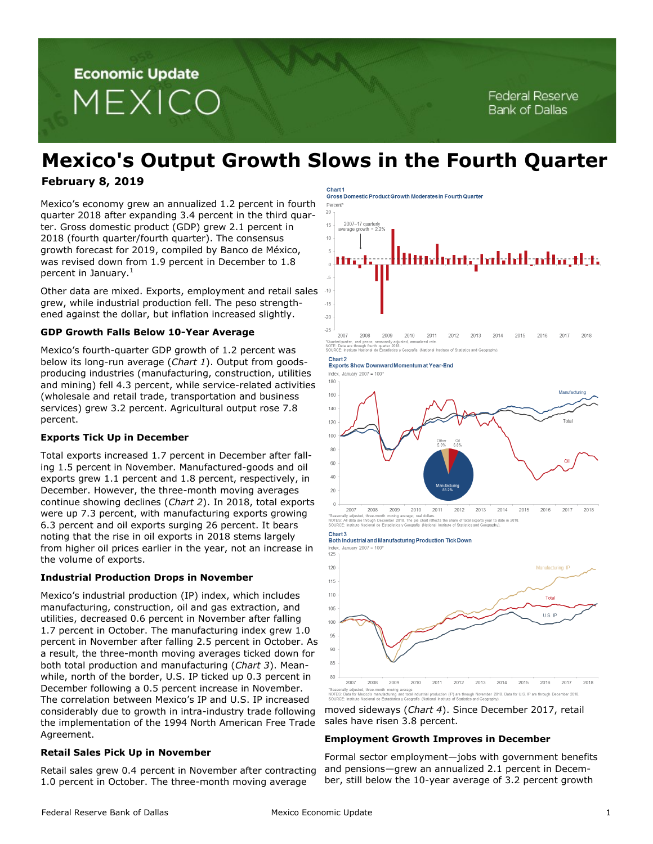**Economic Update** MEXICO

# **Mexico's Output Growth Slows in the Fourth Quarter**

# **February 8, 2019**

Mexico's economy grew an annualized 1.2 percent in fourth quarter 2018 after expanding 3.4 percent in the third quarter. Gross domestic product (GDP) grew 2.1 percent in 2018 (fourth quarter/fourth quarter). The consensus growth forecast for 2019, compiled by Banco de México, was revised down from 1.9 percent in December to 1.8 percent in January. $<sup>1</sup>$ </sup>

Other data are mixed. Exports, employment and retail sales grew, while industrial production fell. The peso strengthened against the dollar, but inflation increased slightly.

# **GDP Growth Falls Below 10-Year Average**

Mexico's fourth-quarter GDP growth of 1.2 percent was below its long-run average (*Chart 1*). Output from goodsproducing industries (manufacturing, construction, utilities and mining) fell 4.3 percent, while service-related activities (wholesale and retail trade, transportation and business services) grew 3.2 percent. Agricultural output rose 7.8 percent.

# **Exports Tick Up in December**

Total exports increased 1.7 percent in December after falling 1.5 percent in November. Manufactured-goods and oil exports grew 1.1 percent and 1.8 percent, respectively, in December. However, the three-month moving averages continue showing declines (*Chart 2*). In 2018, total exports were up 7.3 percent, with manufacturing exports growing 6.3 percent and oil exports surging 26 percent. It bears noting that the rise in oil exports in 2018 stems largely from higher oil prices earlier in the year, not an increase in the volume of exports.

# **Industrial Production Drops in November**

Mexico's industrial production (IP) index, which includes manufacturing, construction, oil and gas extraction, and utilities, decreased 0.6 percent in November after falling 1.7 percent in October. The manufacturing index grew 1.0 percent in November after falling 2.5 percent in October. As a result, the three-month moving averages ticked down for both total production and manufacturing (*Chart 3*). Meanwhile, north of the border, U.S. IP ticked up 0.3 percent in December following a 0.5 percent increase in November. The correlation between Mexico's IP and U.S. IP increased considerably due to growth in intra-industry trade following the implementation of the 1994 North American Free Trade Agreement.

# **Retail Sales Pick Up in November**

Retail sales grew 0.4 percent in November after contracting 1.0 percent in October. The three-month moving average

#### Chart<sub>1</sub> **Gross Domestic Product Growth Moderates in Fourth Quarter**



2009 2007 2008 2010 2011 2012 2017 2013 2014 2015 2016 2018 "Quarter/quarter, real pesos; seasonally adjusted, annualized rate.<br>NOTE: Data are through fourth quarter 2018.<br>SOURCE: Instituto Nacional de Estadística y Geografía (National Institute of Statistics and Geography).

#### Chart<sub>2</sub> **Exports Show Downward Momentum at Year-End**

Index January  $2007 = 100*$ 



2007 2008 2009 2010 2011 2012 2013 2014 2015 2017 2016 2018 ioving average; real dollars.<br>ber 2018. The pie chart reflects the share of total exports year to date in 2018.<br>dística y Geografía (National Institute of Statistics and Geography).

#### Chart<sub>3</sub> Both Industrial and Manufacturing Production Tick Down

dex. January 2007 = 100  $125$  $120$ Manufacturing IP 115 110 Total 105 U.S. IP 100 95 90 85 80 2007 2008 2009 2010 2011 2012 2013 2014 2015 2016 2017 2018 usted, three-month moving average.<br>\* Mesico's manufacturing and total industrial production (IP) are through November 2018. Data for U.S. IP are through December 2018.<br>No Nacional de Estadística y Geografia (National Insti

moved sideways (*Chart 4*). Since December 2017, retail sales have risen 3.8 percent.

### **Employment Growth Improves in December**

Formal sector employment—jobs with government benefits and pensions—grew an annualized 2.1 percent in December, still below the 10-year average of 3.2 percent growth